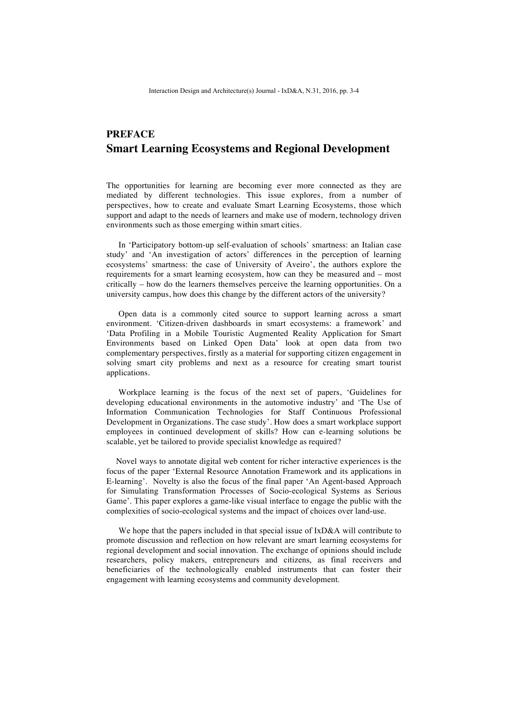## **PREFACE Smart Learning Ecosystems and Regional Development**

The opportunities for learning are becoming ever more connected as they are mediated by different technologies. This issue explores, from a number of perspectives, how to create and evaluate Smart Learning Ecosystems, those which support and adapt to the needs of learners and make use of modern, technology driven environments such as those emerging within smart cities.

In 'Participatory bottom-up self-evaluation of schools' smartness: an Italian case study' and 'An investigation of actors' differences in the perception of learning ecosystems' smartness: the case of University of Aveiro', the authors explore the requirements for a smart learning ecosystem, how can they be measured and – most critically – how do the learners themselves perceive the learning opportunities. On a university campus, how does this change by the different actors of the university?

Open data is a commonly cited source to support learning across a smart environment. 'Citizen-driven dashboards in smart ecosystems: a framework' and 'Data Profiling in a Mobile Touristic Augmented Reality Application for Smart Environments based on Linked Open Data' look at open data from two complementary perspectives, firstly as a material for supporting citizen engagement in solving smart city problems and next as a resource for creating smart tourist applications.

Workplace learning is the focus of the next set of papers, 'Guidelines for developing educational environments in the automotive industry' and 'The Use of Information Communication Technologies for Staff Continuous Professional Development in Organizations. The case study'. How does a smart workplace support employees in continued development of skills? How can e-learning solutions be scalable, yet be tailored to provide specialist knowledge as required?

Novel ways to annotate digital web content for richer interactive experiences is the focus of the paper 'External Resource Annotation Framework and its applications in E-learning'. Novelty is also the focus of the final paper 'An Agent-based Approach for Simulating Transformation Processes of Socio-ecological Systems as Serious Game'. This paper explores a game-like visual interface to engage the public with the complexities of socio-ecological systems and the impact of choices over land-use.

We hope that the papers included in that special issue of IxD&A will contribute to promote discussion and reflection on how relevant are smart learning ecosystems for regional development and social innovation. The exchange of opinions should include researchers, policy makers, entrepreneurs and citizens, as final receivers and beneficiaries of the technologically enabled instruments that can foster their engagement with learning ecosystems and community development.